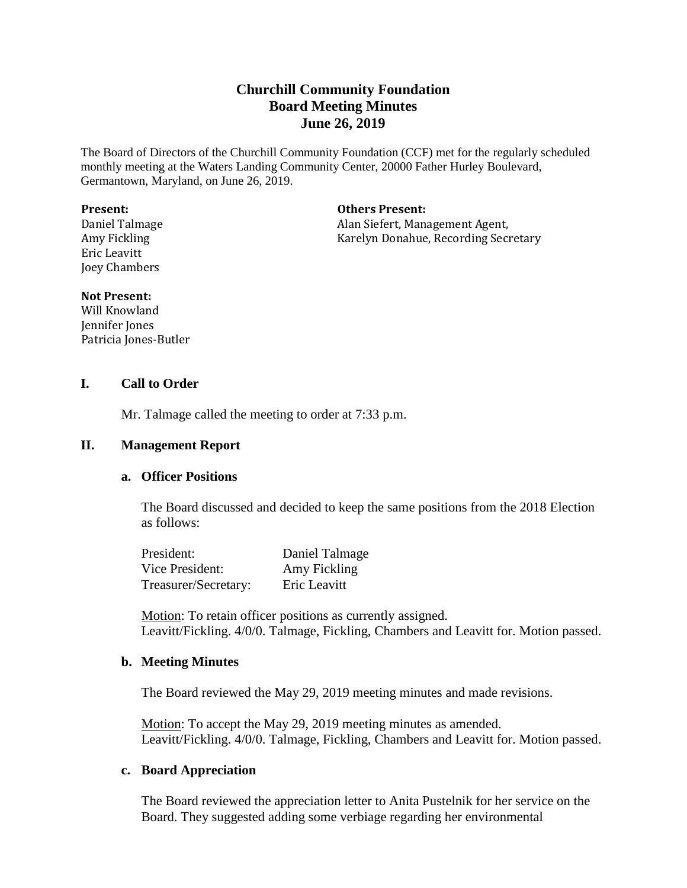# **Churchill Community Foundation Board Meeting Minutes June 26, 2019**

The Board of Directors of the Churchill Community Foundation (CCF) met for the regularly scheduled monthly meeting at the Waters Landing Community Center, 20000 Father Hurley Boulevard, Germantown, Maryland, on June 26, 2019.

#### **Present:**

Daniel Talmage Amy Fickling Eric Leavitt Joey Chambers

**Others Present:**

Alan Siefert, Management Agent, Karelyn Donahue, Recording Secretary

#### **Not Present:**

Will Knowland Jennifer Jones Patricia Jones-Butler

## **I. Call to Order**

Mr. Talmage called the meeting to order at 7:33 p.m.

#### **II. Management Report**

#### **a. Officer Positions**

The Board discussed and decided to keep the same positions from the 2018 Election as follows:

| President:           | Daniel Talmage |
|----------------------|----------------|
| Vice President:      | Amy Fickling   |
| Treasurer/Secretary: | Eric Leavitt   |

Motion: To retain officer positions as currently assigned. Leavitt/Fickling. 4/0/0. Talmage, Fickling, Chambers and Leavitt for. Motion passed.

#### **b. Meeting Minutes**

The Board reviewed the May 29, 2019 meeting minutes and made revisions.

Motion: To accept the May 29, 2019 meeting minutes as amended. Leavitt/Fickling. 4/0/0. Talmage, Fickling, Chambers and Leavitt for. Motion passed.

## **c. Board Appreciation**

The Board reviewed the appreciation letter to Anita Pustelnik for her service on the Board. They suggested adding some verbiage regarding her environmental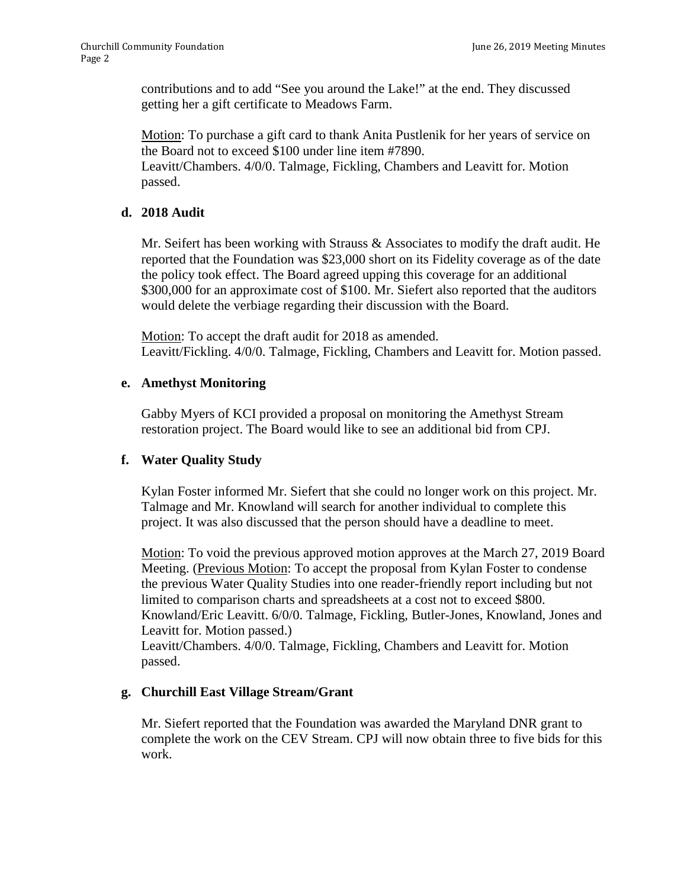contributions and to add "See you around the Lake!" at the end. They discussed getting her a gift certificate to Meadows Farm.

Motion: To purchase a gift card to thank Anita Pustlenik for her years of service on the Board not to exceed \$100 under line item #7890.

Leavitt/Chambers. 4/0/0. Talmage, Fickling, Chambers and Leavitt for. Motion passed.

## **d. 2018 Audit**

Mr. Seifert has been working with Strauss & Associates to modify the draft audit. He reported that the Foundation was \$23,000 short on its Fidelity coverage as of the date the policy took effect. The Board agreed upping this coverage for an additional \$300,000 for an approximate cost of \$100. Mr. Siefert also reported that the auditors would delete the verbiage regarding their discussion with the Board.

Motion: To accept the draft audit for 2018 as amended. Leavitt/Fickling. 4/0/0. Talmage, Fickling, Chambers and Leavitt for. Motion passed.

## **e. Amethyst Monitoring**

Gabby Myers of KCI provided a proposal on monitoring the Amethyst Stream restoration project. The Board would like to see an additional bid from CPJ.

## **f. Water Quality Study**

Kylan Foster informed Mr. Siefert that she could no longer work on this project. Mr. Talmage and Mr. Knowland will search for another individual to complete this project. It was also discussed that the person should have a deadline to meet.

Motion: To void the previous approved motion approves at the March 27, 2019 Board Meeting. (Previous Motion: To accept the proposal from Kylan Foster to condense the previous Water Quality Studies into one reader-friendly report including but not limited to comparison charts and spreadsheets at a cost not to exceed \$800. Knowland/Eric Leavitt. 6/0/0. Talmage, Fickling, Butler-Jones, Knowland, Jones and Leavitt for. Motion passed.)

Leavitt/Chambers. 4/0/0. Talmage, Fickling, Chambers and Leavitt for. Motion passed.

## **g. Churchill East Village Stream/Grant**

Mr. Siefert reported that the Foundation was awarded the Maryland DNR grant to complete the work on the CEV Stream. CPJ will now obtain three to five bids for this work.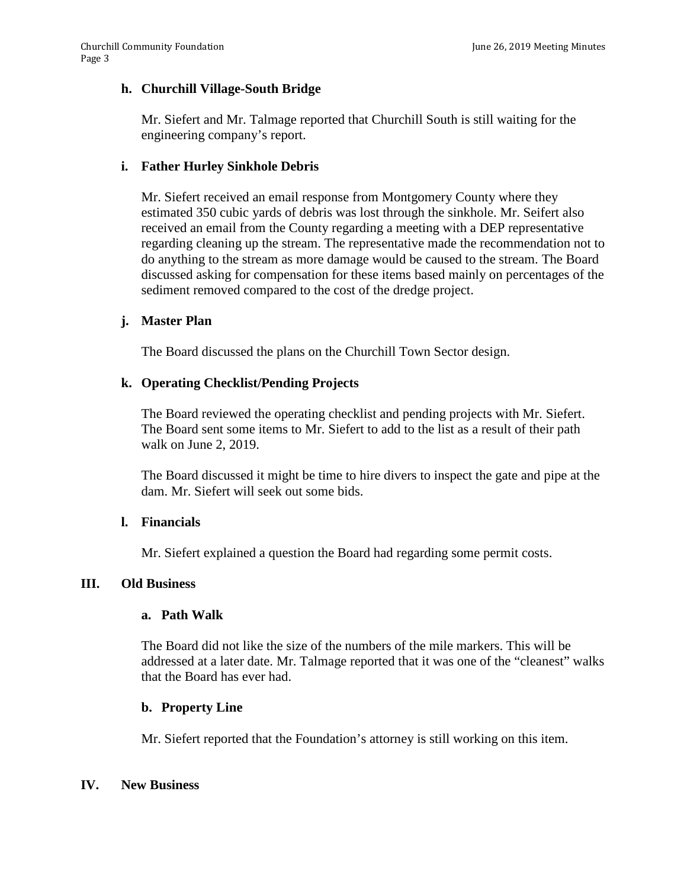## **h. Churchill Village-South Bridge**

Mr. Siefert and Mr. Talmage reported that Churchill South is still waiting for the engineering company's report.

## **i. Father Hurley Sinkhole Debris**

Mr. Siefert received an email response from Montgomery County where they estimated 350 cubic yards of debris was lost through the sinkhole. Mr. Seifert also received an email from the County regarding a meeting with a DEP representative regarding cleaning up the stream. The representative made the recommendation not to do anything to the stream as more damage would be caused to the stream. The Board discussed asking for compensation for these items based mainly on percentages of the sediment removed compared to the cost of the dredge project.

## **j. Master Plan**

The Board discussed the plans on the Churchill Town Sector design.

## **k. Operating Checklist/Pending Projects**

The Board reviewed the operating checklist and pending projects with Mr. Siefert. The Board sent some items to Mr. Siefert to add to the list as a result of their path walk on June 2, 2019.

The Board discussed it might be time to hire divers to inspect the gate and pipe at the dam. Mr. Siefert will seek out some bids.

## **l. Financials**

Mr. Siefert explained a question the Board had regarding some permit costs.

## **III. Old Business**

## **a. Path Walk**

The Board did not like the size of the numbers of the mile markers. This will be addressed at a later date. Mr. Talmage reported that it was one of the "cleanest" walks that the Board has ever had.

## **b. Property Line**

Mr. Siefert reported that the Foundation's attorney is still working on this item.

## **IV. New Business**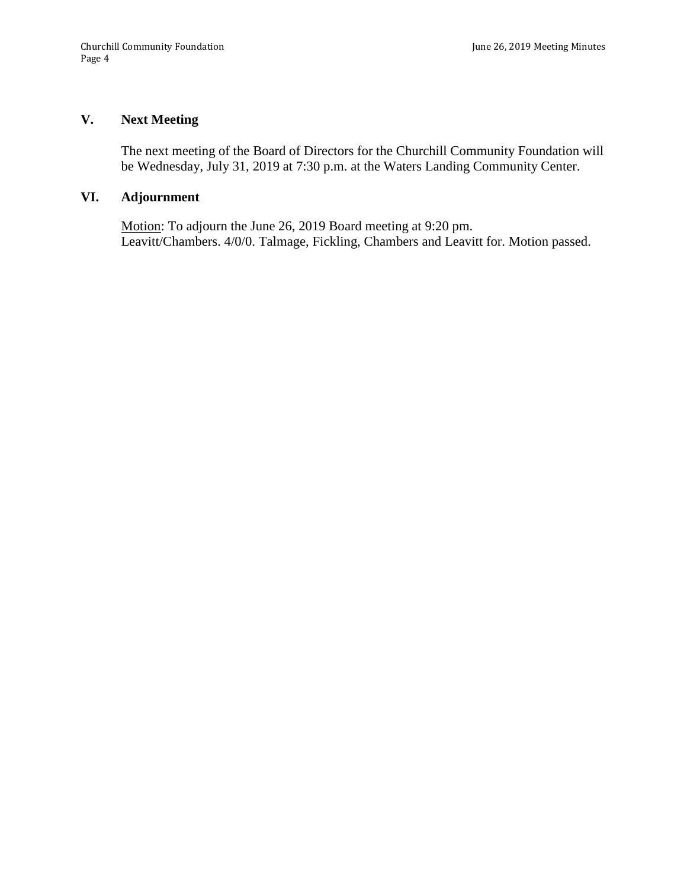# **V. Next Meeting**

The next meeting of the Board of Directors for the Churchill Community Foundation will be Wednesday, July 31, 2019 at 7:30 p.m. at the Waters Landing Community Center.

## **VI. Adjournment**

Motion: To adjourn the June 26, 2019 Board meeting at 9:20 pm. Leavitt/Chambers. 4/0/0. Talmage, Fickling, Chambers and Leavitt for. Motion passed.